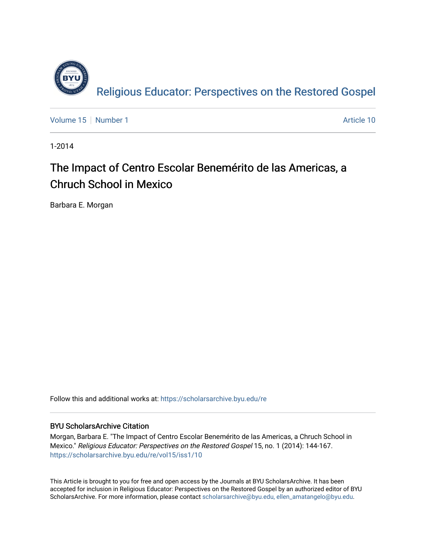

[Volume 15](https://scholarsarchive.byu.edu/re/vol15) [Number 1](https://scholarsarchive.byu.edu/re/vol15/iss1) Article 10

1-2014

## The Impact of Centro Escolar Benemérito de las Americas, a Chruch School in Mexico

Barbara E. Morgan

Follow this and additional works at: [https://scholarsarchive.byu.edu/re](https://scholarsarchive.byu.edu/re?utm_source=scholarsarchive.byu.edu%2Fre%2Fvol15%2Fiss1%2F10&utm_medium=PDF&utm_campaign=PDFCoverPages)

### BYU ScholarsArchive Citation

Morgan, Barbara E. "The Impact of Centro Escolar Benemérito de las Americas, a Chruch School in Mexico." Religious Educator: Perspectives on the Restored Gospel 15, no. 1 (2014): 144-167. [https://scholarsarchive.byu.edu/re/vol15/iss1/10](https://scholarsarchive.byu.edu/re/vol15/iss1/10?utm_source=scholarsarchive.byu.edu%2Fre%2Fvol15%2Fiss1%2F10&utm_medium=PDF&utm_campaign=PDFCoverPages) 

This Article is brought to you for free and open access by the Journals at BYU ScholarsArchive. It has been accepted for inclusion in Religious Educator: Perspectives on the Restored Gospel by an authorized editor of BYU ScholarsArchive. For more information, please contact [scholarsarchive@byu.edu, ellen\\_amatangelo@byu.edu.](mailto:scholarsarchive@byu.edu,%20ellen_amatangelo@byu.edu)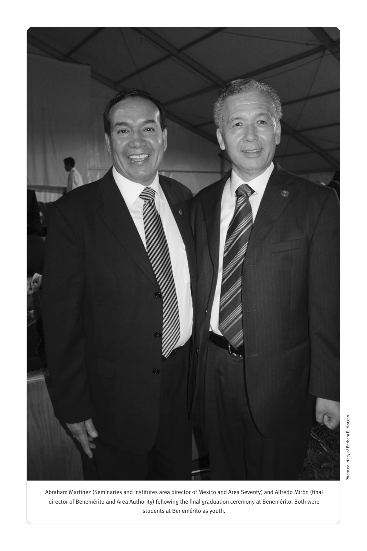

Abraham Martinez (Seminaries and Institutes area director of Mexico and Area Seventy) and Alfredo Mirón (final director of Benemérito and Area Authority) following the final graduation ceremony at Benemérito. Both were students at Benemérito as youth.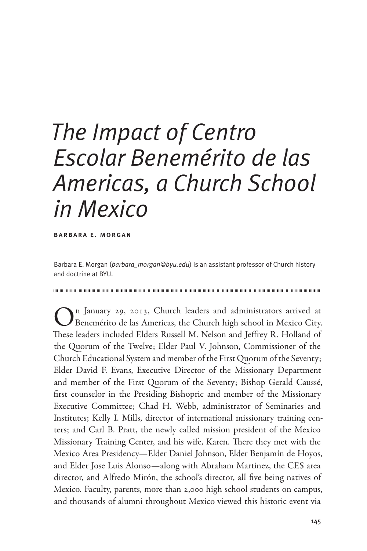# *The Impact of Centro Escolar Benemérito de las Americas, a Church School in Mexico*

barbara e. morgan

Barbara E. Morgan (*barbara\_morgan@byu.edu*) is an assistant professor of Church history and doctrine at BYU.

On January 29, 2013, Church leaders and administrators arrived at Benemérito de las Americas, the Church high school in Mexico City. These leaders included Elders Russell M. Nelson and Jeffrey R. Holland of the Quorum of the Twelve; Elder Paul V. Johnson, Commissioner of the Church Educational System and member of the First Quorum of the Seventy; Elder David F. Evans, Executive Director of the Missionary Department and member of the First Quorum of the Seventy; Bishop Gerald Caussé, first counselor in the Presiding Bishopric and member of the Missionary Executive Committee; Chad H. Webb, administrator of Seminaries and Institutes; Kelly I. Mills, director of international missionary training centers; and Carl B. Pratt, the newly called mission president of the Mexico Missionary Training Center, and his wife, Karen. There they met with the Mexico Area Presidency—Elder Daniel Johnson, Elder Benjamín de Hoyos, and Elder Jose Luis Alonso—along with Abraham Martinez, the CES area director, and Alfredo Mirón, the school's director, all five being natives of Mexico. Faculty, parents, more than 2,000 high school students on campus, and thousands of alumni throughout Mexico viewed this historic event via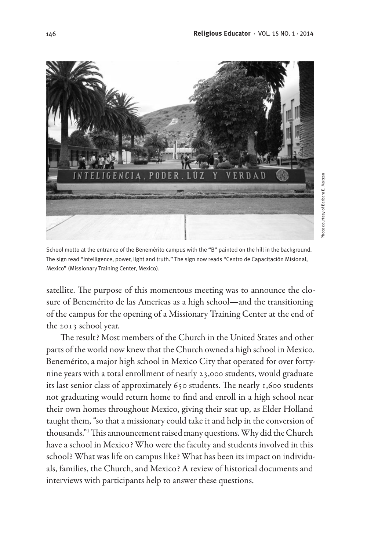

School motto at the entrance of the Benemérito campus with the "B" painted on the hill in the background. The sign read "Intelligence, power, light and truth." The sign now reads "Centro de Capacitación Misional, Mexico" (Missionary Training Center, Mexico).

satellite. The purpose of this momentous meeting was to announce the closure of Benemérito de las Americas as a high school—and the transitioning of the campus for the opening of a Missionary Training Center at the end of the 2013 school year.

The result? Most members of the Church in the United States and other parts of the world now knew that the Church owned a high school in Mexico. Benemérito, a major high school in Mexico City that operated for over fortynine years with a total enrollment of nearly 23,000 students, would graduate its last senior class of approximately 650 students. The nearly 1,600 students not graduating would return home to find and enroll in a high school near their own homes throughout Mexico, giving their seat up, as Elder Holland taught them, "so that a missionary could take it and help in the conversion of thousands."1 This announcement raised many questions. Why did the Church have a school in Mexico? Who were the faculty and students involved in this school? What was life on campus like? What has been its impact on individuals, families, the Church, and Mexico? A review of historical documents and interviews with participants help to answer these questions.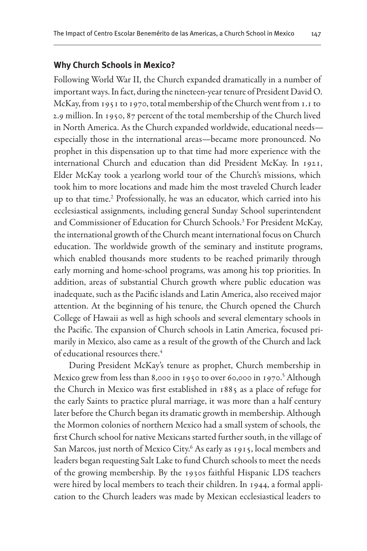#### **Why Church Schools in Mexico?**

Following World War II, the Church expanded dramatically in a number of important ways. In fact, during the nineteen-year tenure of President David O. McKay, from 1951 to 1970, total membership of the Church went from 1.1 to 2.9 million. In 1950, 87 percent of the total membership of the Church lived in North America. As the Church expanded worldwide, educational needs especially those in the international areas—became more pronounced. No prophet in this dispensation up to that time had more experience with the international Church and education than did President McKay. In 1921, Elder McKay took a yearlong world tour of the Church's missions, which took him to more locations and made him the most traveled Church leader up to that time.2 Professionally, he was an educator, which carried into his ecclesiastical assignments, including general Sunday School superintendent and Commissioner of Education for Church Schools.<sup>3</sup> For President McKay, the international growth of the Church meant international focus on Church education. The worldwide growth of the seminary and institute programs, which enabled thousands more students to be reached primarily through early morning and home-school programs, was among his top priorities. In addition, areas of substantial Church growth where public education was inadequate, such as the Pacific islands and Latin America, also received major attention. At the beginning of his tenure, the Church opened the Church College of Hawaii as well as high schools and several elementary schools in the Pacific. The expansion of Church schools in Latin America, focused primarily in Mexico, also came as a result of the growth of the Church and lack of educational resources there.<sup>4</sup>

During President McKay's tenure as prophet, Church membership in Mexico grew from less than 8,000 in 1950 to over 60,000 in 1970.<sup>5</sup> Although the Church in Mexico was first established in 1885 as a place of refuge for the early Saints to practice plural marriage, it was more than a half century later before the Church began its dramatic growth in membership. Although the Mormon colonies of northern Mexico had a small system of schools, the first Church school for native Mexicans started further south, in the village of San Marcos, just north of Mexico City.6 As early as 1915, local members and leaders began requesting Salt Lake to fund Church schools to meet the needs of the growing membership. By the 1930s faithful Hispanic LDS teachers were hired by local members to teach their children. In 1944, a formal application to the Church leaders was made by Mexican ecclesiastical leaders to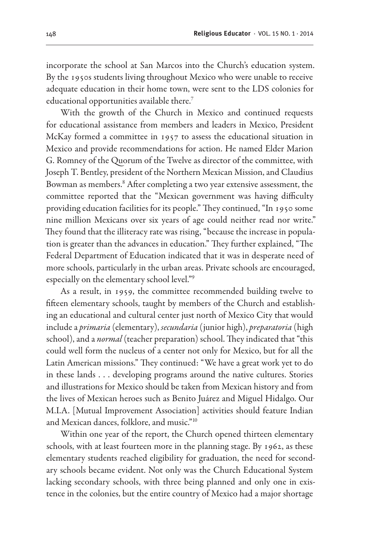incorporate the school at San Marcos into the Church's education system. By the 1950s students living throughout Mexico who were unable to receive adequate education in their home town, were sent to the LDS colonies for educational opportunities available there.<sup>7</sup>

With the growth of the Church in Mexico and continued requests for educational assistance from members and leaders in Mexico, President McKay formed a committee in 1957 to assess the educational situation in Mexico and provide recommendations for action. He named Elder Marion G. Romney of the Quorum of the Twelve as director of the committee, with Joseph T. Bentley, president of the Northern Mexican Mission, and Claudius Bowman as members.<sup>8</sup> After completing a two year extensive assessment, the committee reported that the "Mexican government was having difficulty providing education facilities for its people." They continued, "In 1950 some nine million Mexicans over six years of age could neither read nor write." They found that the illiteracy rate was rising, "because the increase in population is greater than the advances in education." They further explained, "The Federal Department of Education indicated that it was in desperate need of more schools, particularly in the urban areas. Private schools are encouraged, especially on the elementary school level."9

As a result, in 1959, the committee recommended building twelve to fifteen elementary schools, taught by members of the Church and establishing an educational and cultural center just north of Mexico City that would include a *primaria* (elementary), *secundaria* (junior high), *preparatoria* (high school), and a *normal* (teacher preparation) school. They indicated that "this could well form the nucleus of a center not only for Mexico, but for all the Latin American missions." They continued: "We have a great work yet to do in these lands . . . developing programs around the native cultures. Stories and illustrations for Mexico should be taken from Mexican history and from the lives of Mexican heroes such as Benito Juárez and Miguel Hidalgo. Our M.I.A. [Mutual Improvement Association] activities should feature Indian and Mexican dances, folklore, and music."10

Within one year of the report, the Church opened thirteen elementary schools, with at least fourteen more in the planning stage. By 1962, as these elementary students reached eligibility for graduation, the need for secondary schools became evident. Not only was the Church Educational System lacking secondary schools, with three being planned and only one in existence in the colonies, but the entire country of Mexico had a major shortage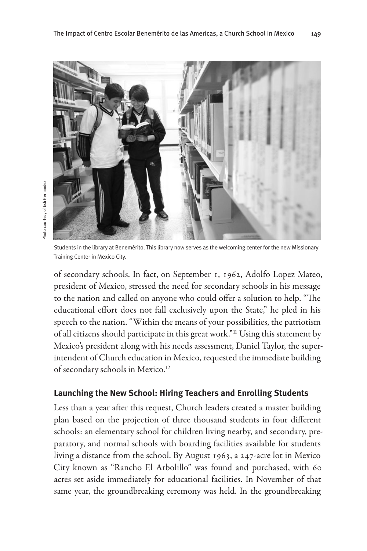

Students in the library at Benemérito. This library now serves as the welcoming center for the new Missionary Training Center in Mexico City.

of secondary schools. In fact, on September 1, 1962, Adolfo Lopez Mateo, president of Mexico, stressed the need for secondary schools in his message to the nation and called on anyone who could offer a solution to help. "The educational effort does not fall exclusively upon the State," he pled in his speech to the nation. "Within the means of your possibilities, the patriotism of all citizens should participate in this great work."11 Using this statement by Mexico's president along with his needs assessment, Daniel Taylor, the superintendent of Church education in Mexico, requested the immediate building of secondary schools in Mexico.<sup>12</sup>

#### **Launching the New School: Hiring Teachers and Enrolling Students**

Less than a year after this request, Church leaders created a master building plan based on the projection of three thousand students in four different schools: an elementary school for children living nearby, and secondary, preparatory, and normal schools with boarding facilities available for students living a distance from the school. By August 1963, a 247-acre lot in Mexico City known as "Rancho El Arbolillo" was found and purchased, with 60 acres set aside immediately for educational facilities. In November of that same year, the groundbreaking ceremony was held. In the groundbreaking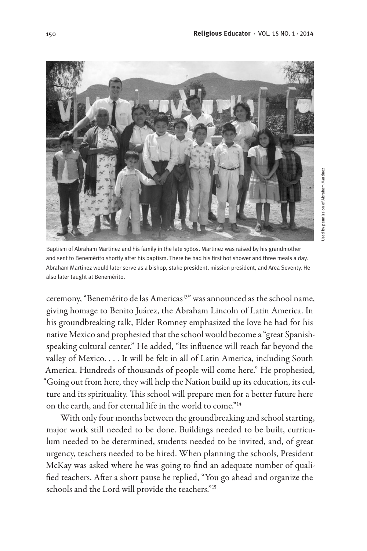

Baptism of Abraham Martinez and his family in the late 1960s. Martinez was raised by his grandmother and sent to Benemérito shortly after his baptism. There he had his first hot shower and three meals a day. Abraham Martinez would later serve as a bishop, stake president, mission president, and Area Seventy. He also later taught at Benemérito.

ceremony, "Benemérito de las Americas<sup>13"</sup> was announced as the school name, giving homage to Benito Juárez, the Abraham Lincoln of Latin America. In his groundbreaking talk, Elder Romney emphasized the love he had for his native Mexico and prophesied that the school would become a "great Spanishspeaking cultural center." He added, "Its influence will reach far beyond the valley of Mexico. . . . It will be felt in all of Latin America, including South America. Hundreds of thousands of people will come here." He prophesied, "Going out from here, they will help the Nation build up its education, its culture and its spirituality. This school will prepare men for a better future here on the earth, and for eternal life in the world to come."<sup>14</sup>

With only four months between the groundbreaking and school starting, major work still needed to be done. Buildings needed to be built, curriculum needed to be determined, students needed to be invited, and, of great urgency, teachers needed to be hired. When planning the schools, President McKay was asked where he was going to find an adequate number of qualified teachers. After a short pause he replied, "You go ahead and organize the schools and the Lord will provide the teachers."15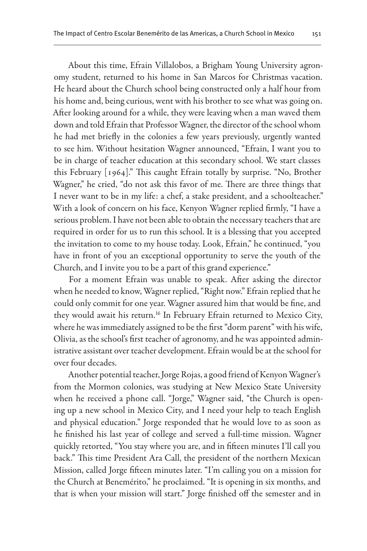About this time, Efrain Villalobos, a Brigham Young University agronomy student, returned to his home in San Marcos for Christmas vacation. He heard about the Church school being constructed only a half hour from his home and, being curious, went with his brother to see what was going on. After looking around for a while, they were leaving when a man waved them down and told Efrain that Professor Wagner, the director of the school whom he had met briefly in the colonies a few years previously, urgently wanted to see him. Without hesitation Wagner announced, "Efrain, I want you to be in charge of teacher education at this secondary school. We start classes this February [1964]." This caught Efrain totally by surprise. "No, Brother Wagner," he cried, "do not ask this favor of me. There are three things that I never want to be in my life: a chef, a stake president, and a schoolteacher." With a look of concern on his face, Kenyon Wagner replied firmly, "I have a serious problem. I have not been able to obtain the necessary teachers that are required in order for us to run this school. It is a blessing that you accepted the invitation to come to my house today. Look, Efrain," he continued, "you have in front of you an exceptional opportunity to serve the youth of the Church, and I invite you to be a part of this grand experience."

For a moment Efrain was unable to speak. After asking the director when he needed to know, Wagner replied, "Right now." Efrain replied that he could only commit for one year. Wagner assured him that would be fine, and they would await his return.<sup>16</sup> In February Efrain returned to Mexico City, where he was immediately assigned to be the first "dorm parent" with his wife, Olivia, as the school's first teacher of agronomy, and he was appointed administrative assistant over teacher development. Efrain would be at the school for over four decades.

Another potential teacher, Jorge Rojas, a good friend of Kenyon Wagner's from the Mormon colonies, was studying at New Mexico State University when he received a phone call. "Jorge," Wagner said, "the Church is opening up a new school in Mexico City, and I need your help to teach English and physical education." Jorge responded that he would love to as soon as he finished his last year of college and served a full-time mission. Wagner quickly retorted, "You stay where you are, and in fifteen minutes I'll call you back." This time President Ara Call, the president of the northern Mexican Mission, called Jorge fifteen minutes later. "I'm calling you on a mission for the Church at Benemérito," he proclaimed. "It is opening in six months, and that is when your mission will start." Jorge finished off the semester and in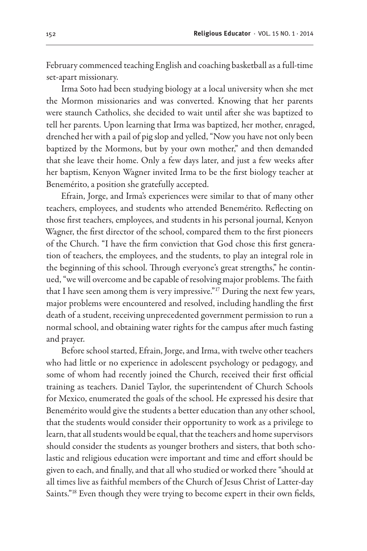February commenced teaching English and coaching basketball as a full-time set-apart missionary.

Irma Soto had been studying biology at a local university when she met the Mormon missionaries and was converted. Knowing that her parents were staunch Catholics, she decided to wait until after she was baptized to tell her parents. Upon learning that Irma was baptized, her mother, enraged, drenched her with a pail of pig slop and yelled, "Now you have not only been baptized by the Mormons, but by your own mother," and then demanded that she leave their home. Only a few days later, and just a few weeks after her baptism, Kenyon Wagner invited Irma to be the first biology teacher at Benemérito, a position she gratefully accepted.

Efrain, Jorge, and Irma's experiences were similar to that of many other teachers, employees, and students who attended Benemérito. Reflecting on those first teachers, employees, and students in his personal journal, Kenyon Wagner, the first director of the school, compared them to the first pioneers of the Church. "I have the firm conviction that God chose this first generation of teachers, the employees, and the students, to play an integral role in the beginning of this school. Through everyone's great strengths," he continued, "we will overcome and be capable of resolving major problems. The faith that I have seen among them is very impressive."<sup>17</sup> During the next few years, major problems were encountered and resolved, including handling the first death of a student, receiving unprecedented government permission to run a normal school, and obtaining water rights for the campus after much fasting and prayer.

Before school started, Efrain, Jorge, and Irma, with twelve other teachers who had little or no experience in adolescent psychology or pedagogy, and some of whom had recently joined the Church, received their first official training as teachers. Daniel Taylor, the superintendent of Church Schools for Mexico, enumerated the goals of the school. He expressed his desire that Benemérito would give the students a better education than any other school, that the students would consider their opportunity to work as a privilege to learn, that all students would be equal, that the teachers and home supervisors should consider the students as younger brothers and sisters, that both scholastic and religious education were important and time and effort should be given to each, and finally, and that all who studied or worked there "should at all times live as faithful members of the Church of Jesus Christ of Latter-day Saints."18 Even though they were trying to become expert in their own fields,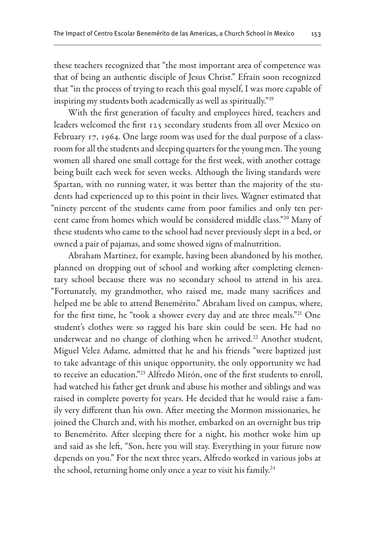these teachers recognized that "the most important area of competence was that of being an authentic disciple of Jesus Christ." Efrain soon recognized that "in the process of trying to reach this goal myself, I was more capable of inspiring my students both academically as well as spiritually."19

With the first generation of faculty and employees hired, teachers and leaders welcomed the first 125 secondary students from all over Mexico on February 17, 1964. One large room was used for the dual purpose of a classroom for all the students and sleeping quarters for the young men. The young women all shared one small cottage for the first week, with another cottage being built each week for seven weeks. Although the living standards were Spartan, with no running water, it was better than the majority of the students had experienced up to this point in their lives. Wagner estimated that "ninety percent of the students came from poor families and only ten percent came from homes which would be considered middle class."20 Many of these students who came to the school had never previously slept in a bed, or owned a pair of pajamas, and some showed signs of malnutrition.

Abraham Martinez, for example, having been abandoned by his mother, planned on dropping out of school and working after completing elementary school because there was no secondary school to attend in his area. "Fortunately, my grandmother, who raised me, made many sacrifices and helped me be able to attend Benemérito." Abraham lived on campus, where, for the first time, he "took a shower every day and ate three meals."21 One student's clothes were so ragged his bare skin could be seen. He had no underwear and no change of clothing when he arrived.<sup>22</sup> Another student, Miguel Velez Adame, admitted that he and his friends "were baptized just to take advantage of this unique opportunity, the only opportunity we had to receive an education."23 Alfredo Mirón, one of the first students to enroll, had watched his father get drunk and abuse his mother and siblings and was raised in complete poverty for years. He decided that he would raise a family very different than his own. After meeting the Mormon missionaries, he joined the Church and, with his mother, embarked on an overnight bus trip to Benemérito. After sleeping there for a night, his mother woke him up and said as she left, "Son, here you will stay. Everything in your future now depends on you." For the next three years, Alfredo worked in various jobs at the school, returning home only once a year to visit his family.<sup>24</sup>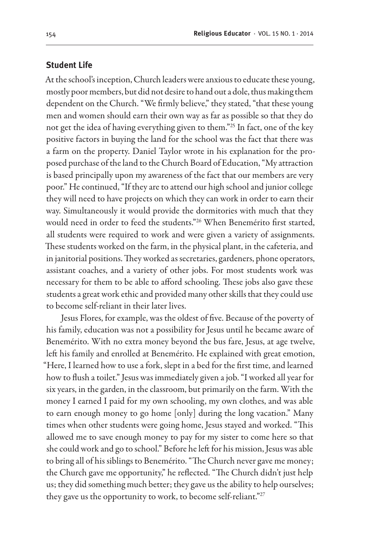#### **Student Life**

At the school's inception, Church leaders were anxious to educate these young, mostly poor members, but did not desire to hand out a dole, thus making them dependent on the Church. "We firmly believe," they stated, "that these young men and women should earn their own way as far as possible so that they do not get the idea of having everything given to them."25 In fact, one of the key positive factors in buying the land for the school was the fact that there was a farm on the property. Daniel Taylor wrote in his explanation for the proposed purchase of the land to the Church Board of Education, "My attraction is based principally upon my awareness of the fact that our members are very poor." He continued, "If they are to attend our high school and junior college they will need to have projects on which they can work in order to earn their way. Simultaneously it would provide the dormitories with much that they would need in order to feed the students."26 When Benemérito first started, all students were required to work and were given a variety of assignments. These students worked on the farm, in the physical plant, in the cafeteria, and in janitorial positions. They worked as secretaries, gardeners, phone operators, assistant coaches, and a variety of other jobs. For most students work was necessary for them to be able to afford schooling. These jobs also gave these students a great work ethic and provided many other skills that they could use to become self-reliant in their later lives.

Jesus Flores, for example, was the oldest of five. Because of the poverty of his family, education was not a possibility for Jesus until he became aware of Benemérito. With no extra money beyond the bus fare, Jesus, at age twelve, left his family and enrolled at Benemérito. He explained with great emotion, "Here, I learned how to use a fork, slept in a bed for the first time, and learned how to flush a toilet." Jesus was immediately given a job. "I worked all year for six years, in the garden, in the classroom, but primarily on the farm. With the money I earned I paid for my own schooling, my own clothes, and was able to earn enough money to go home [only] during the long vacation." Many times when other students were going home, Jesus stayed and worked. "This allowed me to save enough money to pay for my sister to come here so that she could work and go to school." Before he left for his mission, Jesus was able to bring all of his siblings to Benemérito. "The Church never gave me money; the Church gave me opportunity," he reflected. "The Church didn't just help us; they did something much better; they gave us the ability to help ourselves; they gave us the opportunity to work, to become self-reliant."<sup>27</sup>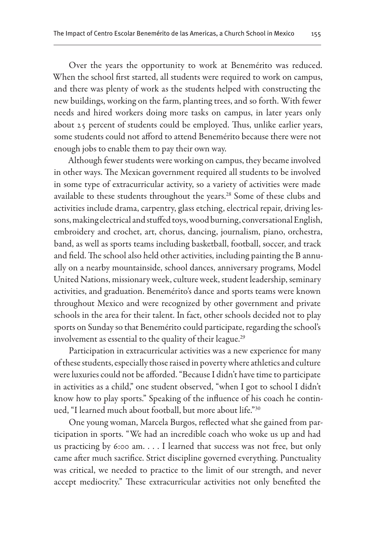Over the years the opportunity to work at Benemérito was reduced. When the school first started, all students were required to work on campus, and there was plenty of work as the students helped with constructing the new buildings, working on the farm, planting trees, and so forth. With fewer needs and hired workers doing more tasks on campus, in later years only about 25 percent of students could be employed. Thus, unlike earlier years, some students could not afford to attend Benemérito because there were not enough jobs to enable them to pay their own way.

Although fewer students were working on campus, they became involved in other ways. The Mexican government required all students to be involved in some type of extracurricular activity, so a variety of activities were made available to these students throughout the years.<sup>28</sup> Some of these clubs and activities include drama, carpentry, glass etching, electrical repair, driving lessons, making electrical and stuffed toys, wood burning, conversational English, embroidery and crochet, art, chorus, dancing, journalism, piano, orchestra, band, as well as sports teams including basketball, football, soccer, and track and field. The school also held other activities, including painting the B annually on a nearby mountainside, school dances, anniversary programs, Model United Nations, missionary week, culture week, student leadership, seminary activities, and graduation. Benemérito's dance and sports teams were known throughout Mexico and were recognized by other government and private schools in the area for their talent. In fact, other schools decided not to play sports on Sunday so that Benemérito could participate, regarding the school's involvement as essential to the quality of their league.<sup>29</sup>

Participation in extracurricular activities was a new experience for many of these students, especially those raised in poverty where athletics and culture were luxuries could not be afforded. "Because I didn't have time to participate in activities as a child," one student observed, "when I got to school I didn't know how to play sports." Speaking of the influence of his coach he continued, "I learned much about football, but more about life."30

One young woman, Marcela Burgos, reflected what she gained from participation in sports. "We had an incredible coach who woke us up and had us practicing by 6:00 am. . . . I learned that success was not free, but only came after much sacrifice. Strict discipline governed everything. Punctuality was critical, we needed to practice to the limit of our strength, and never accept mediocrity." These extracurricular activities not only benefited the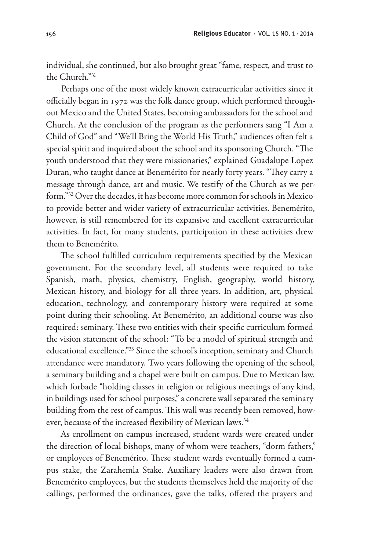individual, she continued, but also brought great "fame, respect, and trust to the Church<sup>"31</sup>

Perhaps one of the most widely known extracurricular activities since it officially began in 1972 was the folk dance group, which performed throughout Mexico and the United States, becoming ambassadors for the school and Church. At the conclusion of the program as the performers sang "I Am a Child of God" and "We'll Bring the World His Truth," audiences often felt a special spirit and inquired about the school and its sponsoring Church. "The youth understood that they were missionaries," explained Guadalupe Lopez Duran, who taught dance at Benemérito for nearly forty years. "They carry a message through dance, art and music. We testify of the Church as we perform."32 Over the decades, it has become more common for schools in Mexico to provide better and wider variety of extracurricular activities. Benemérito, however, is still remembered for its expansive and excellent extracurricular activities. In fact, for many students, participation in these activities drew them to Benemérito.

The school fulfilled curriculum requirements specified by the Mexican government. For the secondary level, all students were required to take Spanish, math, physics, chemistry, English, geography, world history, Mexican history, and biology for all three years. In addition, art, physical education, technology, and contemporary history were required at some point during their schooling. At Benemérito, an additional course was also required: seminary. These two entities with their specific curriculum formed the vision statement of the school: "To be a model of spiritual strength and educational excellence."33 Since the school's inception, seminary and Church attendance were mandatory. Two years following the opening of the school, a seminary building and a chapel were built on campus. Due to Mexican law, which forbade "holding classes in religion or religious meetings of any kind, in buildings used for school purposes," a concrete wall separated the seminary building from the rest of campus. This wall was recently been removed, however, because of the increased flexibility of Mexican laws.<sup>34</sup>

As enrollment on campus increased, student wards were created under the direction of local bishops, many of whom were teachers, "dorm fathers," or employees of Benemérito. These student wards eventually formed a campus stake, the Zarahemla Stake. Auxiliary leaders were also drawn from Benemérito employees, but the students themselves held the majority of the callings, performed the ordinances, gave the talks, offered the prayers and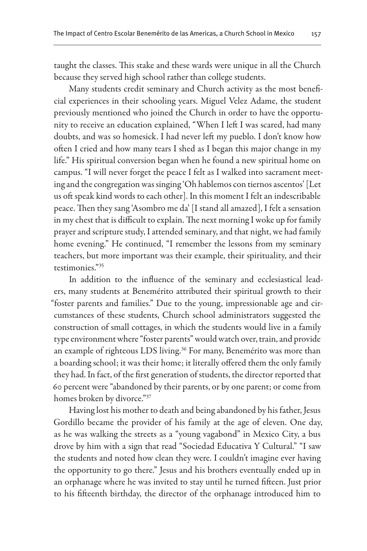taught the classes. This stake and these wards were unique in all the Church because they served high school rather than college students.

Many students credit seminary and Church activity as the most beneficial experiences in their schooling years. Miguel Velez Adame, the student previously mentioned who joined the Church in order to have the opportunity to receive an education explained, "When I left I was scared, had many doubts, and was so homesick. I had never left my pueblo. I don't know how often I cried and how many tears I shed as I began this major change in my life." His spiritual conversion began when he found a new spiritual home on campus. "I will never forget the peace I felt as I walked into sacrament meeting and the congregation was singing 'Oh hablemos con tiernos ascentos' [Let us oft speak kind words to each other]. In this moment I felt an indescribable peace. Then they sang 'Asombro me da' [I stand all amazed], I felt a sensation in my chest that is difficult to explain. The next morning I woke up for family prayer and scripture study, I attended seminary, and that night, we had family home evening." He continued, "I remember the lessons from my seminary teachers, but more important was their example, their spirituality, and their testimonies."35

In addition to the influence of the seminary and ecclesiastical leaders, many students at Benemérito attributed their spiritual growth to their "foster parents and families." Due to the young, impressionable age and circumstances of these students, Church school administrators suggested the construction of small cottages, in which the students would live in a family type environment where "foster parents" would watch over, train, and provide an example of righteous LDS living.<sup>36</sup> For many, Benemérito was more than a boarding school; it was their home; it literally offered them the only family they had. In fact, of the first generation of students, the director reported that 60 percent were "abandoned by their parents, or by one parent; or come from homes broken by divorce."37

Having lost his mother to death and being abandoned by his father, Jesus Gordillo became the provider of his family at the age of eleven. One day, as he was walking the streets as a "young vagabond" in Mexico City, a bus drove by him with a sign that read "Sociedad Educativa Y Cultural." "I saw the students and noted how clean they were. I couldn't imagine ever having the opportunity to go there." Jesus and his brothers eventually ended up in an orphanage where he was invited to stay until he turned fifteen. Just prior to his fifteenth birthday, the director of the orphanage introduced him to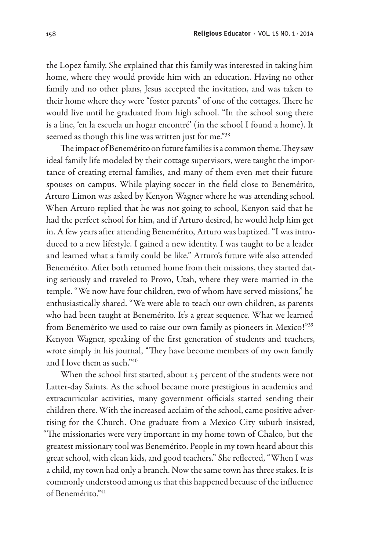the Lopez family. She explained that this family was interested in taking him home, where they would provide him with an education. Having no other family and no other plans, Jesus accepted the invitation, and was taken to their home where they were "foster parents" of one of the cottages. There he would live until he graduated from high school. "In the school song there is a line, 'en la escuela un hogar encontré' (in the school I found a home). It seemed as though this line was written just for me."38

The impact of Benemérito on future families is a common theme. They saw ideal family life modeled by their cottage supervisors, were taught the importance of creating eternal families, and many of them even met their future spouses on campus. While playing soccer in the field close to Benemérito, Arturo Limon was asked by Kenyon Wagner where he was attending school. When Arturo replied that he was not going to school, Kenyon said that he had the perfect school for him, and if Arturo desired, he would help him get in. A few years after attending Benemérito, Arturo was baptized. "I was introduced to a new lifestyle. I gained a new identity. I was taught to be a leader and learned what a family could be like." Arturo's future wife also attended Benemérito. After both returned home from their missions, they started dating seriously and traveled to Provo, Utah, where they were married in the temple. "We now have four children, two of whom have served missions," he enthusiastically shared. "We were able to teach our own children, as parents who had been taught at Benemérito. It's a great sequence. What we learned from Benemérito we used to raise our own family as pioneers in Mexico!"39 Kenyon Wagner, speaking of the first generation of students and teachers, wrote simply in his journal, "They have become members of my own family and I love them as such."40

When the school first started, about 25 percent of the students were not Latter-day Saints. As the school became more prestigious in academics and extracurricular activities, many government officials started sending their children there. With the increased acclaim of the school, came positive advertising for the Church. One graduate from a Mexico City suburb insisted, "The missionaries were very important in my home town of Chalco, but the greatest missionary tool was Benemérito. People in my town heard about this great school, with clean kids, and good teachers." She reflected, "When I was a child, my town had only a branch. Now the same town has three stakes. It is commonly understood among us that this happened because of the influence of Benemérito."41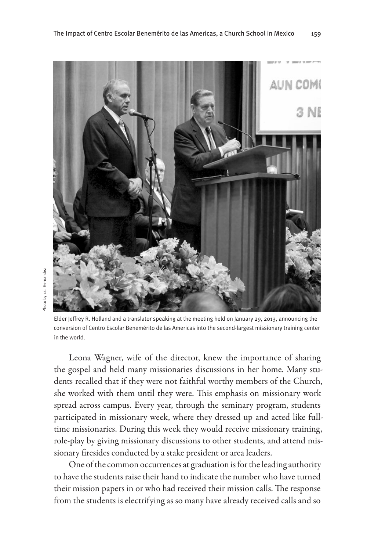

Elder Jeffrey R. Holland and a translator speaking at the meeting held on January 29, 2013, announcing the conversion of Centro Escolar Benemérito de las Americas into the second-largest missionary training center in the world.

Leona Wagner, wife of the director, knew the importance of sharing the gospel and held many missionaries discussions in her home. Many students recalled that if they were not faithful worthy members of the Church, she worked with them until they were. This emphasis on missionary work spread across campus. Every year, through the seminary program, students participated in missionary week, where they dressed up and acted like fulltime missionaries. During this week they would receive missionary training, role-play by giving missionary discussions to other students, and attend missionary firesides conducted by a stake president or area leaders.

One of the common occurrences at graduation is for the leading authority to have the students raise their hand to indicate the number who have turned their mission papers in or who had received their mission calls. The response from the students is electrifying as so many have already received calls and so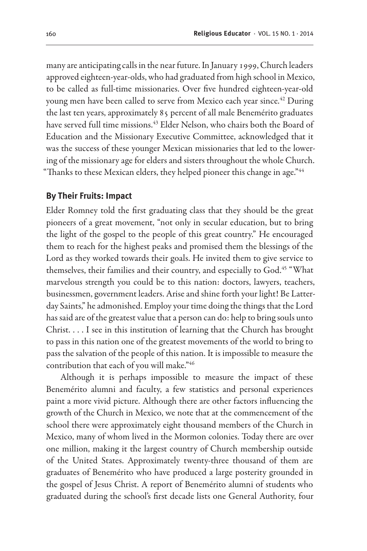many are anticipating calls in the near future. In January 1999, Church leaders approved eighteen-year-olds, who had graduated from high school in Mexico, to be called as full-time missionaries. Over five hundred eighteen-year-old young men have been called to serve from Mexico each year since.<sup>42</sup> During the last ten years, approximately 85 percent of all male Benemérito graduates have served full time missions.<sup>43</sup> Elder Nelson, who chairs both the Board of Education and the Missionary Executive Committee, acknowledged that it was the success of these younger Mexican missionaries that led to the lowering of the missionary age for elders and sisters throughout the whole Church. "Thanks to these Mexican elders, they helped pioneer this change in age."44

#### **By Their Fruits: Impact**

Elder Romney told the first graduating class that they should be the great pioneers of a great movement, "not only in secular education, but to bring the light of the gospel to the people of this great country." He encouraged them to reach for the highest peaks and promised them the blessings of the Lord as they worked towards their goals. He invited them to give service to themselves, their families and their country, and especially to God.<sup>45</sup> "What marvelous strength you could be to this nation: doctors, lawyers, teachers, businessmen, government leaders. Arise and shine forth your light! Be Latterday Saints," he admonished. Employ your time doing the things that the Lord has said are of the greatest value that a person can do: help to bring souls unto Christ. . . . I see in this institution of learning that the Church has brought to pass in this nation one of the greatest movements of the world to bring to pass the salvation of the people of this nation. It is impossible to measure the contribution that each of you will make."46

Although it is perhaps impossible to measure the impact of these Benemérito alumni and faculty, a few statistics and personal experiences paint a more vivid picture. Although there are other factors influencing the growth of the Church in Mexico, we note that at the commencement of the school there were approximately eight thousand members of the Church in Mexico, many of whom lived in the Mormon colonies. Today there are over one million, making it the largest country of Church membership outside of the United States. Approximately twenty-three thousand of them are graduates of Benemérito who have produced a large posterity grounded in the gospel of Jesus Christ. A report of Benemérito alumni of students who graduated during the school's first decade lists one General Authority, four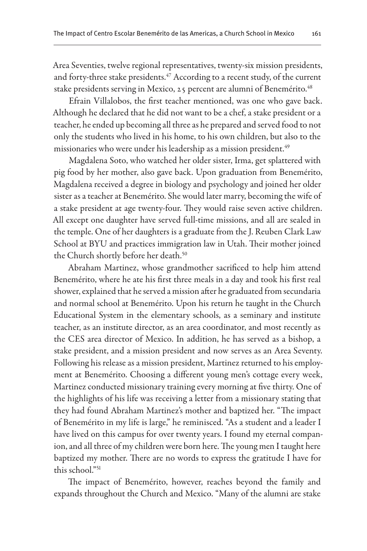Area Seventies, twelve regional representatives, twenty-six mission presidents, and forty-three stake presidents.<sup>47</sup> According to a recent study, of the current stake presidents serving in Mexico, 25 percent are alumni of Benemérito.<sup>48</sup>

Efrain Villalobos, the first teacher mentioned, was one who gave back. Although he declared that he did not want to be a chef, a stake president or a teacher, he ended up becoming all three as he prepared and served food to not only the students who lived in his home, to his own children, but also to the missionaries who were under his leadership as a mission president.<sup>49</sup>

Magdalena Soto, who watched her older sister, Irma, get splattered with pig food by her mother, also gave back. Upon graduation from Benemérito, Magdalena received a degree in biology and psychology and joined her older sister as a teacher at Benemérito. She would later marry, becoming the wife of a stake president at age twenty-four. They would raise seven active children. All except one daughter have served full-time missions, and all are sealed in the temple. One of her daughters is a graduate from the J. Reuben Clark Law School at BYU and practices immigration law in Utah. Their mother joined the Church shortly before her death.<sup>50</sup>

Abraham Martinez, whose grandmother sacrificed to help him attend Benemérito, where he ate his first three meals in a day and took his first real shower, explained that he served a mission after he graduated from secundaria and normal school at Benemérito. Upon his return he taught in the Church Educational System in the elementary schools, as a seminary and institute teacher, as an institute director, as an area coordinator, and most recently as the CES area director of Mexico. In addition, he has served as a bishop, a stake president, and a mission president and now serves as an Area Seventy. Following his release as a mission president, Martinez returned to his employment at Benemérito. Choosing a different young men's cottage every week, Martinez conducted missionary training every morning at five thirty. One of the highlights of his life was receiving a letter from a missionary stating that they had found Abraham Martinez's mother and baptized her. "The impact of Benemérito in my life is large," he reminisced. "As a student and a leader I have lived on this campus for over twenty years. I found my eternal companion, and all three of my children were born here. The young men I taught here baptized my mother. There are no words to express the gratitude I have for this school."<sup>51</sup>

The impact of Benemérito, however, reaches beyond the family and expands throughout the Church and Mexico. "Many of the alumni are stake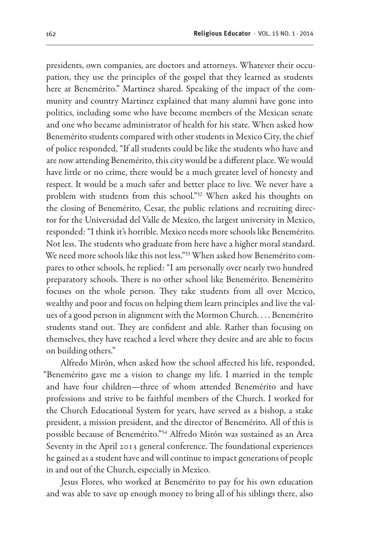presidents, own companies, are doctors and attorneys. Whatever their occupation, they use the principles of the gospel that they learned as students here at Benemérito." Martinez shared. Speaking of the impact of the community and country Martinez explained that many alumni have gone into politics, including some who have become members of the Mexican senate and one who became administrator of health for his state. When asked how Benemérito students compared with other students in Mexico City, the chief of police responded, "If all students could be like the students who have and are now attending Benemérito, this city would be a different place. We would have little or no crime, there would be a much greater level of honesty and respect. It would be a much safer and better place to live. We never have a problem with students from this school."52 When asked his thoughts on the closing of Benemérito, Cesar, the public relations and recruiting director for the Universidad del Valle de Mexico, the largest university in Mexico, responded: "I think it's horrible. Mexico needs more schools like Benemérito. Not less. The students who graduate from here have a higher moral standard. We need more schools like this not less."<sup>53</sup> When asked how Benemérito compares to other schools, he replied: "I am personally over nearly two hundred preparatory schools. There is no other school like Benemérito. Benemérito focuses on the whole person. They take students from all over Mexico, wealthy and poor and focus on helping them learn principles and live the values of a good person in alignment with the Mormon Church. . . . Benemérito students stand out. They are confident and able. Rather than focusing on themselves, they have reached a level where they desire and are able to focus on building others."

Alfredo Mirón, when asked how the school affected his life, responded, "Benemérito gave me a vision to change my life. I married in the temple and have four children—three of whom attended Benemérito and have professions and strive to be faithful members of the Church. I worked for the Church Educational System for years, have served as a bishop, a stake president, a mission president, and the director of Benemérito. All of this is possible because of Benemérito."54 Alfredo Mirón was sustained as an Area Seventy in the April 2013 general conference. The foundational experiences he gained as a student have and will continue to impact generations of people in and out of the Church, especially in Mexico.

Jesus Flores, who worked at Benemérito to pay for his own education and was able to save up enough money to bring all of his siblings there, also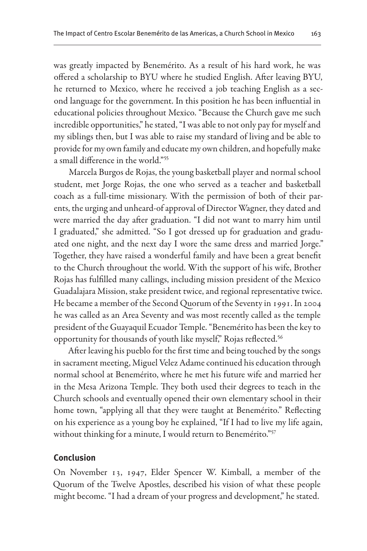was greatly impacted by Benemérito. As a result of his hard work, he was offered a scholarship to BYU where he studied English. After leaving BYU, he returned to Mexico, where he received a job teaching English as a second language for the government. In this position he has been influential in educational policies throughout Mexico. "Because the Church gave me such incredible opportunities," he stated, "I was able to not only pay for myself and my siblings then, but I was able to raise my standard of living and be able to provide for my own family and educate my own children, and hopefully make a small difference in the world."55

Marcela Burgos de Rojas, the young basketball player and normal school student, met Jorge Rojas, the one who served as a teacher and basketball coach as a full-time missionary. With the permission of both of their parents, the urging and unheard-of approval of Director Wagner, they dated and were married the day after graduation. "I did not want to marry him until I graduated," she admitted. "So I got dressed up for graduation and graduated one night, and the next day I wore the same dress and married Jorge." Together, they have raised a wonderful family and have been a great benefit to the Church throughout the world. With the support of his wife, Brother Rojas has fulfilled many callings, including mission president of the Mexico Guadalajara Mission, stake president twice, and regional representative twice. He became a member of the Second Quorum of the Seventy in 1991. In 2004 he was called as an Area Seventy and was most recently called as the temple president of the Guayaquil Ecuador Temple. "Benemérito has been the key to opportunity for thousands of youth like myself," Rojas reflected.<sup>56</sup>

After leaving his pueblo for the first time and being touched by the songs in sacrament meeting, Miguel Velez Adame continued his education through normal school at Benemérito, where he met his future wife and married her in the Mesa Arizona Temple. They both used their degrees to teach in the Church schools and eventually opened their own elementary school in their home town, "applying all that they were taught at Benemérito." Reflecting on his experience as a young boy he explained, "If I had to live my life again, without thinking for a minute, I would return to Benemérito."57

#### **Conclusion**

On November 13, 1947, Elder Spencer W. Kimball, a member of the Quorum of the Twelve Apostles, described his vision of what these people might become. "I had a dream of your progress and development," he stated.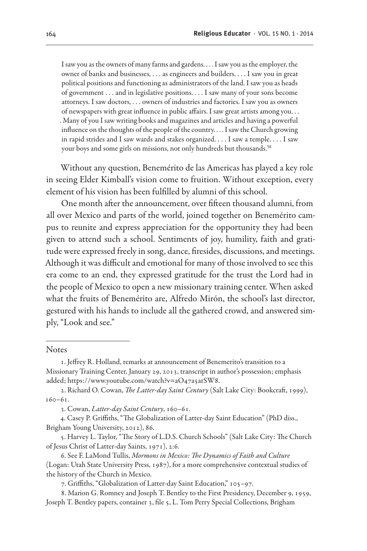I saw you as the owners of many farms and gardens. . . . I saw you as the employer, the owner of banks and businesses, . . . as engineers and builders. . . . I saw you in great political positions and functioning as administrators of the land. I saw you as heads of government . . . and in legislative positions. . . . I saw many of your sons become attorneys. I saw doctors, . . . owners of industries and factories. I saw you as owners of newspapers with great influence in public affairs. I saw great artists among you. . . . Many of you I saw writing books and magazines and articles and having a powerful influence on the thoughts of the people of the country. . . . I saw the Church growing in rapid strides and I saw wards and stakes organized. . . . I saw a temple. . . . I saw your boys and some girls on missions, not only hundreds but thousands.<sup>58</sup>

Without any question, Benemérito de las Americas has played a key role in seeing Elder Kimball's vision come to fruition. Without exception, every element of his vision has been fulfilled by alumni of this school.

One month after the announcement, over fifteen thousand alumni, from all over Mexico and parts of the world, joined together on Benemérito campus to reunite and express appreciation for the opportunity they had been given to attend such a school. Sentiments of joy, humility, faith and gratitude were expressed freely in song, dance, firesides, discussions, and meetings. Although it was difficult and emotional for many of those involved to see this era come to an end, they expressed gratitude for the trust the Lord had in the people of Mexico to open a new missionary training center. When asked what the fruits of Benemérito are, Alfredo Mirón, the school's last director, gestured with his hands to include all the gathered crowd, and answered simply, "Look and see."

**Notes** 

<sup>1.</sup> Jeffrey R. Holland, remarks at announcement of Benemerito's transition to a Missionary Training Center, January 29, 2013, transcript in author's possession; emphasis added; https://www.youtube.com/watch?v=aO47a5arSW8.

<sup>2.</sup> Richard O. Cowan, *The Latter-day Saint Century* (Salt Lake City: Bookcraft, 1999), 160–61.

<sup>3.</sup> Cowan, *Latter-day Saint Century*, 160–61.

<sup>4.</sup> Casey P. Griffiths, "The Globalization of Latter-day Saint Education" (PhD diss., Brigham Young University, 2012), 86.

<sup>5.</sup> Harvey L. Taylor, "The Story of L.D.S. Church Schools" (Salt Lake City: The Church of Jesus Christ of Latter-day Saints, 1971), 2:6.

<sup>6.</sup> See F. LaMond Tullis, *Mormons in Mexico: The Dynamics of Faith and Culture*  (Logan: Utah State University Press, 1987), for a more comprehensive contextual studies of the history of the Church in Mexico.

<sup>7.</sup> Griffiths, "Globalization of Latter-day Saint Education," 105–97.

<sup>8.</sup> Marion G. Romney and Joseph T. Bentley to the First Presidency, December 9, 1959, Joseph T. Bentley papers, container 3, file 5, L. Tom Perry Special Collections, Brigham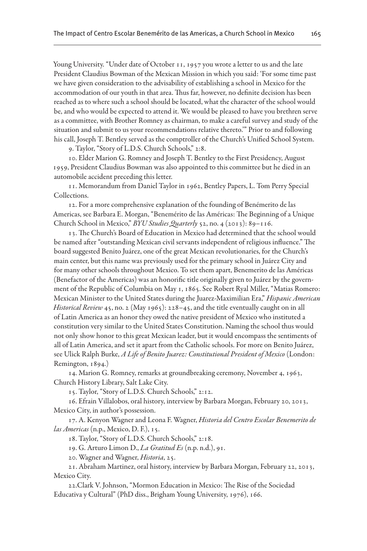Young University. "Under date of October 11, 1957 you wrote a letter to us and the late President Claudius Bowman of the Mexican Mission in which you said: 'For some time past we have given consideration to the advisability of establishing a school in Mexico for the accommodation of our youth in that area. Thus far, however, no definite decision has been reached as to where such a school should be located, what the character of the school would be, and who would be expected to attend it. We would be pleased to have you brethren serve as a committee, with Brother Romney as chairman, to make a careful survey and study of the situation and submit to us your recommendations relative thereto.'" Prior to and following his call, Joseph T. Bentley served as the comptroller of the Church's Unified School System.

9. Taylor, "Story of L.D.S. Church Schools," 2:8.

10. Elder Marion G. Romney and Joseph T. Bentley to the First Presidency, August 1959, President Claudius Bowman was also appointed to this committee but he died in an automobile accident preceding this letter.

11. Memorandum from Daniel Taylor in 1962, Bentley Papers, L. Tom Perry Special Collections.

12. For a more comprehensive explanation of the founding of Benémerito de las Americas, see Barbara E. Morgan, "Benemérito de las Américas: The Beginning of a Unique Church School in Mexico," *BYU Studies Quarterly* 52, no. 4 (2013): 89–116.

13. The Church's Board of Education in Mexico had determined that the school would be named after "outstanding Mexican civil servants independent of religious influence." The board suggested Benito Juárez, one of the great Mexican revolutionaries, for the Church's main center, but this name was previously used for the primary school in Juárez City and for many other schools throughout Mexico. To set them apart, Benemerito de las Américas (Benefactor of the Americas) was an honorific title originally given to Juárez by the government of the Republic of Columbia on May 1, 1865. See Robert Ryal Miller, "Matias Romero: Mexican Minister to the United States during the Juarez-Maximilian Era," *Hispanic American Historical Review* 45, no. 2 (May 1965): 228–45, and the title eventually caught on in all of Latin America as an honor they owed the native president of Mexico who instituted a constitution very similar to the United States Constitution. Naming the school thus would not only show honor to this great Mexican leader, but it would encompass the sentiments of all of Latin America, and set it apart from the Catholic schools. For more on Benito Juárez, see Ulick Ralph Burke, *A Life of Benito Juarez: Constitutional President of Mexico* (London: Remington, 1894.)

14. Marion G. Romney, remarks at groundbreaking ceremony, November 4, 1963, Church History Library, Salt Lake City.

15. Taylor, "Story of L.D.S. Church Schools," 2:12.

16. Efrain Villalobos, oral history, interview by Barbara Morgan, February 20, 2013, Mexico City, in author's possession.

17. A. Kenyon Wagner and Leona F. Wagner, *Historia del Centro Escolar Benemerito de las Americas* (n.p., Mexico, D. F.), 15.

18. Taylor, "Story of L.D.S. Church Schools," 2:18.

19. G. Arturo Limon D., *La Gratitud Es* (n.p. n.d.), 91.

20. Wagner and Wagner, *Historia*, 25.

21. Abraham Martinez, oral history, interview by Barbara Morgan, February 22, 2013, Mexico City.

22.Clark V. Johnson, "Mormon Education in Mexico: The Rise of the Sociedad Educativa y Cultural" (PhD diss., Brigham Young University, 1976), 166.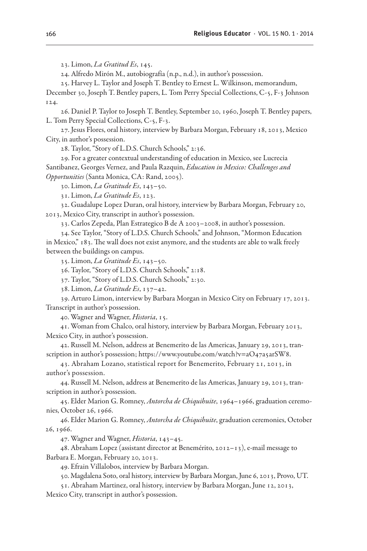23. Limon, *La Gratitud Es*, 145.

24. Alfredo Mirón M., autobiografía (n.p., n.d.), in author's possession.

25. Harvey L. Taylor and Joseph T. Bentley to Ernest L. Wilkinson, memorandum,

December 30, Joseph T. Bentley papers, L. Tom Perry Special Collections, C-5, F-3 Johnson 124.

26. Daniel P. Taylor to Joseph T. Bentley, September 20, 1960, Joseph T. Bentley papers, L. Tom Perry Special Collections, C-5, F-3.

27. Jesus Flores, oral history, interview by Barbara Morgan, February 18, 2013, Mexico City, in author's possession.

28. Taylor, "Story of L.D.S. Church Schools," 2:36.

29. For a greater contextual understanding of education in Mexico, see Lucrecia Santibanez, Georges Vernez, and Paula Razquin, *Education in Mexico: Challenges and Opportunities* (Santa Monica, CA: Rand, 2005).

30. Limon, *La Gratitude Es*, 143–50.

31. Limon, *La Gratitude Es*, 123.

32. Guadalupe Lopez Duran, oral history, interview by Barbara Morgan, February 20, 2013, Mexico City, transcript in author's possession.

33. Carlos Zepeda, Plan Estrategico B de A 2003–2008, in author's possession.

34. See Taylor, "Story of L.D.S. Church Schools," and Johnson, "Mormon Education in Mexico," 183. The wall does not exist anymore, and the students are able to walk freely between the buildings on campus.

35. Limon, *La Gratitude Es*, 143–50.

36. Taylor, "Story of L.D.S. Church Schools," 2:18.

37. Taylor, "Story of L.D.S. Church Schools," 2:30.

38. Limon, *La Gratitude Es*, 137–42.

39. Arturo Limon, interview by Barbara Morgan in Mexico City on February 17, 2013. Transcript in author's possession.

40. Wagner and Wagner, *Historia*, 15.

41. Woman from Chalco, oral history, interview by Barbara Morgan, February 2013, Mexico City, in author's possession.

42. Russell M. Nelson, address at Benemerito de las Americas, January 29, 2013, transcription in author's possession; https://www.youtube.com/watch?v=aO47a5arSW8.

43. Abraham Lozano, statistical report for Benemerito, February 21, 2013, in author's possession.

44. Russell M. Nelson, address at Benemerito de las Americas, January 29, 2013, transcription in author's possession.

45. Elder Marion G. Romney, *Antorcha de Chiquihuite*, 1964–1966, graduation ceremonies, October 26, 1966.

46. Elder Marion G. Romney, *Antorcha de Chiquihuite*, graduation ceremonies, October 26, 1966.

47. Wagner and Wagner, *Historia*, 143–45.

48. Abraham Lopez (assistant director at Benemérito, 2012–13), e-mail message to Barbara E. Morgan, February 20, 2013.

49. Efrain Villalobos, interview by Barbara Morgan.

50. Magdalena Soto, oral history, interview by Barbara Morgan, June 6, 2013, Provo, UT.

51. Abraham Martinez, oral history, interview by Barbara Morgan, June 12, 2013,

Mexico City, transcript in author's possession.